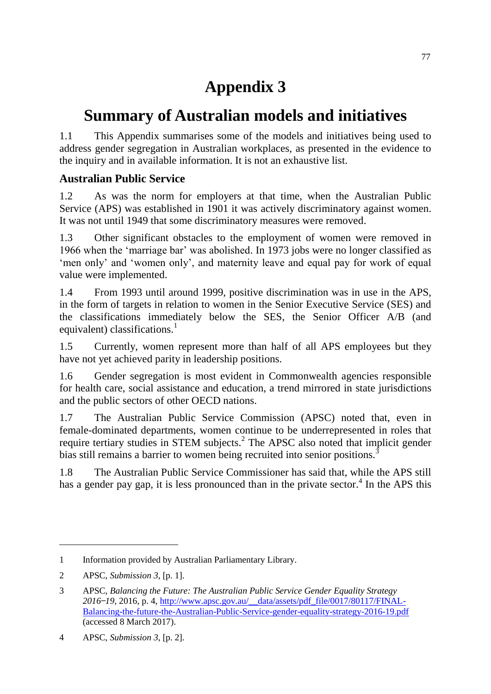## **Appendix 3**

## **Summary of Australian models and initiatives**

1.1 This Appendix summarises some of the models and initiatives being used to address gender segregation in Australian workplaces, as presented in the evidence to the inquiry and in available information. It is not an exhaustive list.

## **Australian Public Service**

1.2 As was the norm for employers at that time, when the Australian Public Service (APS) was established in 1901 it was actively discriminatory against women. It was not until 1949 that some discriminatory measures were removed.

1.3 Other significant obstacles to the employment of women were removed in 1966 when the 'marriage bar' was abolished. In 1973 jobs were no longer classified as 'men only' and 'women only', and maternity leave and equal pay for work of equal value were implemented.

1.4 From 1993 until around 1999, positive discrimination was in use in the APS, in the form of targets in relation to women in the Senior Executive Service (SES) and the classifications immediately below the SES, the Senior Officer A/B (and equivalent) classifications.<sup>1</sup>

1.5 Currently, women represent more than half of all APS employees but they have not yet achieved parity in leadership positions.

1.6 Gender segregation is most evident in Commonwealth agencies responsible for health care, social assistance and education, a trend mirrored in state jurisdictions and the public sectors of other OECD nations.

1.7 The Australian Public Service Commission (APSC) noted that, even in female-dominated departments, women continue to be underrepresented in roles that require tertiary studies in STEM subjects.<sup>2</sup> The APSC also noted that implicit gender bias still remains a barrier to women being recruited into senior positions.<sup>3</sup>

1.8 The Australian Public Service Commissioner has said that, while the APS still has a gender pay gap, it is less pronounced than in the private sector.<sup>4</sup> In the APS this

<sup>1</sup> Information provided by Australian Parliamentary Library.

<sup>2</sup> APSC, *Submission 3*, [p. 1].

<sup>3</sup> APSC, *Balancing the Future: The Australian Public Service Gender Equality Strategy 2016 ̶19*, 2016, p. 4, [http://www.apsc.gov.au/\\_\\_data/assets/pdf\\_file/0017/80117/FINAL-](http://www.apsc.gov.au/__data/assets/pdf_file/0017/80117/FINAL-Balancing-the-future-the-Australian-Public-Service-gender-equality-strategy-2016-19.pdf)[Balancing-the-future-the-Australian-Public-Service-gender-equality-strategy-2016-19.pdf](http://www.apsc.gov.au/__data/assets/pdf_file/0017/80117/FINAL-Balancing-the-future-the-Australian-Public-Service-gender-equality-strategy-2016-19.pdf) (accessed 8 March 2017).

<sup>4</sup> APSC, *Submission 3*, [p. 2].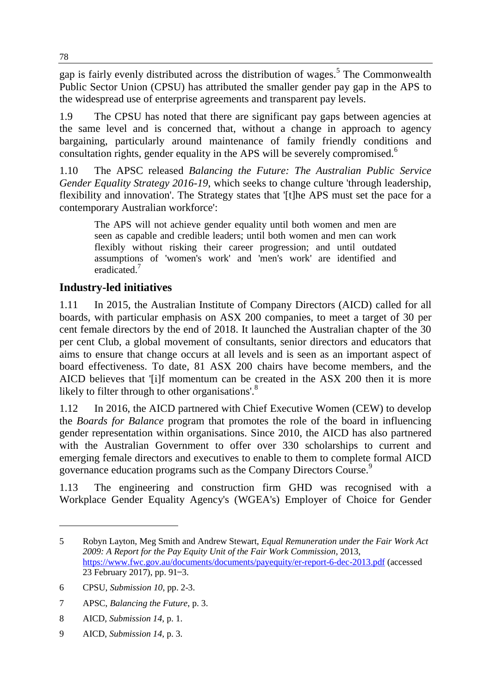gap is fairly evenly distributed across the distribution of wages.<sup>5</sup> The Commonwealth Public Sector Union (CPSU) has attributed the smaller gender pay gap in the APS to the widespread use of enterprise agreements and transparent pay levels.

1.9 The CPSU has noted that there are significant pay gaps between agencies at the same level and is concerned that, without a change in approach to agency bargaining, particularly around maintenance of family friendly conditions and consultation rights, gender equality in the APS will be severely compromised.<sup>6</sup>

1.10 The APSC released *Balancing the Future: The Australian Public Service Gender Equality Strategy 2016-19*, which seeks to change culture 'through leadership, flexibility and innovation'. The Strategy states that '[t]he APS must set the pace for a contemporary Australian workforce':

The APS will not achieve gender equality until both women and men are seen as capable and credible leaders; until both women and men can work flexibly without risking their career progression; and until outdated assumptions of 'women's work' and 'men's work' are identified and eradicated.<sup>7</sup>

## **Industry-led initiatives**

1.11 In 2015, the Australian Institute of Company Directors (AICD) called for all boards, with particular emphasis on ASX 200 companies, to meet a target of 30 per cent female directors by the end of 2018. It launched the Australian chapter of the 30 per cent Club, a global movement of consultants, senior directors and educators that aims to ensure that change occurs at all levels and is seen as an important aspect of board effectiveness. To date, 81 ASX 200 chairs have become members, and the AICD believes that '[i]f momentum can be created in the ASX 200 then it is more likely to filter through to other organisations'.<sup>8</sup>

1.12 In 2016, the AICD partnered with Chief Executive Women (CEW) to develop the *Boards for Balance* program that promotes the role of the board in influencing gender representation within organisations. Since 2010, the AICD has also partnered with the Australian Government to offer over 330 scholarships to current and emerging female directors and executives to enable to them to complete formal AICD governance education programs such as the Company Directors Course.<sup>9</sup>

1.13 The engineering and construction firm GHD was recognised with a Workplace Gender Equality Agency's (WGEA's) Employer of Choice for Gender

<sup>5</sup> Robyn Layton, Meg Smith and Andrew Stewart, *Equal Remuneration under the Fair Work Act 2009: A Report for the Pay Equity Unit of the Fair Work Commission*, 2013, <https://www.fwc.gov.au/documents/documents/payequity/er-report-6-dec-2013.pdf> (accessed 23 February 2017), pp. 91–3.

<sup>6</sup> CPSU, *Submission 10*, pp. 2-3.

<sup>7</sup> APSC, *Balancing the Future*, p. 3.

<sup>8</sup> AICD, *Submission 14*, p. 1.

<sup>9</sup> AICD, *Submission 14*, p. 3.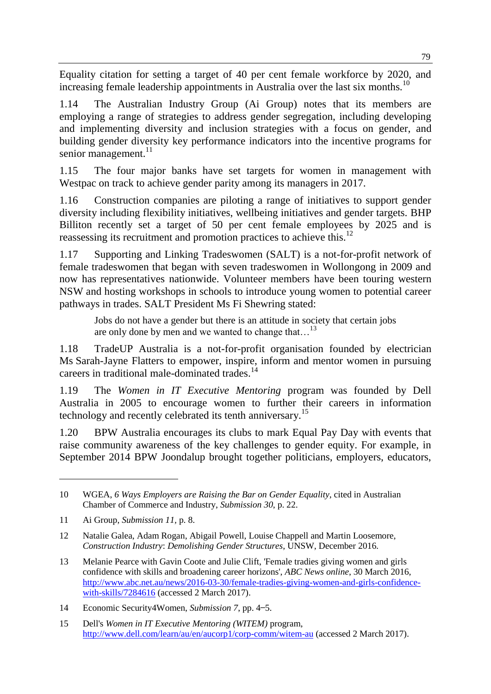Equality citation for setting a target of 40 per cent female workforce by 2020, and increasing female leadership appointments in Australia over the last six months.<sup>10</sup>

1.14 The Australian Industry Group (Ai Group) notes that its members are employing a range of strategies to address gender segregation, including developing and implementing diversity and inclusion strategies with a focus on gender, and building gender diversity key performance indicators into the incentive programs for senior management.<sup>11</sup>

1.15 The four major banks have set targets for women in management with Westpac on track to achieve gender parity among its managers in 2017.

1.16 Construction companies are piloting a range of initiatives to support gender diversity including flexibility initiatives, wellbeing initiatives and gender targets. BHP Billiton recently set a target of 50 per cent female employees by 2025 and is reassessing its recruitment and promotion practices to achieve this.<sup>12</sup>

1.17 Supporting and Linking Tradeswomen (SALT) is a not-for-profit network of female tradeswomen that began with seven tradeswomen in Wollongong in 2009 and now has representatives nationwide. Volunteer members have been touring western NSW and hosting workshops in schools to introduce young women to potential career pathways in trades. SALT President Ms Fi Shewring stated:

Jobs do not have a gender but there is an attitude in society that certain jobs are only done by men and we wanted to change that...<sup>13</sup>

1.18 TradeUP Australia is a not-for-profit organisation founded by electrician Ms Sarah-Jayne Flatters to empower, inspire, inform and mentor women in pursuing careers in traditional male-dominated trades.<sup>14</sup>

1.19 The *Women in IT Executive Mentoring* program was founded by Dell Australia in 2005 to encourage women to further their careers in information technology and recently celebrated its tenth anniversary.<sup>15</sup>

1.20 BPW Australia encourages its clubs to mark Equal Pay Day with events that raise community awareness of the key challenges to gender equity. For example, in September 2014 BPW Joondalup brought together politicians, employers, educators,

<sup>10</sup> WGEA, *6 Ways Employers are Raising the Bar on Gender Equality*, cited in Australian Chamber of Commerce and Industry, *Submission 30*, p. 22.

<sup>11</sup> Ai Group, *Submission 11,* p. 8.

<sup>12</sup> Natalie Galea, Adam Rogan, Abigail Powell, Louise Chappell and Martin Loosemore, *Construction Industry*: *Demolishing Gender Structures*, UNSW, December 2016.

<sup>13</sup> Melanie Pearce with Gavin Coote and Julie Clift, 'Female tradies giving women and girls confidence with skills and broadening career horizons', *ABC News online*, 30 March 2016, [http://www.abc.net.au/news/2016-03-30/female-tradies-giving-women-and-girls-confidence](http://www.abc.net.au/news/2016-03-30/female-tradies-giving-women-and-girls-confidence-with-skills/7284616)[with-skills/7284616](http://www.abc.net.au/news/2016-03-30/female-tradies-giving-women-and-girls-confidence-with-skills/7284616) (accessed 2 March 2017).

<sup>14</sup> Economic Security4Women, *Submission* 7, pp. 4–5.

<sup>15</sup> Dell's *Women in IT Executive Mentoring (WITEM)* program, <http://www.dell.com/learn/au/en/aucorp1/corp-comm/witem-au> (accessed 2 March 2017).